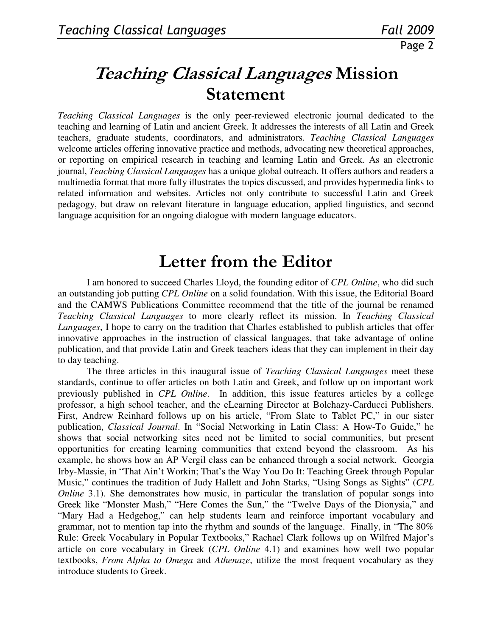## Teaching Classical Languages Mission Statement

*Teaching Classical Languages* is the only peer-reviewed electronic journal dedicated to the teaching and learning of Latin and ancient Greek. It addresses the interests of all Latin and Greek teachers, graduate students, coordinators, and administrators. *Teaching Classical Languages* welcome articles offering innovative practice and methods, advocating new theoretical approaches, or reporting on empirical research in teaching and learning Latin and Greek. As an electronic journal, *Teaching Classical Languages* has a unique global outreach. It offers authors and readers a multimedia format that more fully illustrates the topics discussed, and provides hypermedia links to related information and websites. Articles not only contribute to successful Latin and Greek pedagogy, but draw on relevant literature in language education, applied linguistics, and second language acquisition for an ongoing dialogue with modern language educators.

## Letter from the Editor

I am honored to succeed Charles Lloyd, the founding editor of *CPL Online*, who did such an outstanding job putting *CPL Online* on a solid foundation. With this issue, the Editorial Board and the CAMWS Publications Committee recommend that the title of the journal be renamed *Teaching Classical Languages* to more clearly reflect its mission. In *Teaching Classical Languages*, I hope to carry on the tradition that Charles established to publish articles that offer innovative approaches in the instruction of classical languages, that take advantage of online publication, and that provide Latin and Greek teachers ideas that they can implement in their day to day teaching.

The three articles in this inaugural issue of *Teaching Classical Languages* meet these standards, continue to offer articles on both Latin and Greek, and follow up on important work previously published in *CPL Online*. In addition, this issue features articles by a college professor, a high school teacher, and the eLearning Director at Bolchazy-Carducci Publishers. First, Andrew Reinhard follows up on his article, "From Slate to Tablet PC," in our sister publication, *Classical Journal*. In "Social Networking in Latin Class: A How-To Guide," he shows that social networking sites need not be limited to social communities, but present opportunities for creating learning communities that extend beyond the classroom. As his example, he shows how an AP Vergil class can be enhanced through a social network. Georgia Irby-Massie, in "That Ain't Workin; That's the Way You Do It: Teaching Greek through Popular Music," continues the tradition of Judy Hallett and John Starks, "Using Songs as Sights" (*CPL Online* 3.1). She demonstrates how music, in particular the translation of popular songs into Greek like "Monster Mash," "Here Comes the Sun," the "Twelve Days of the Dionysia," and "Mary Had a Hedgehog," can help students learn and reinforce important vocabulary and grammar, not to mention tap into the rhythm and sounds of the language. Finally, in "The 80% Rule: Greek Vocabulary in Popular Textbooks," Rachael Clark follows up on Wilfred Major's article on core vocabulary in Greek (*CPL Online* 4.1) and examines how well two popular textbooks, *From Alpha to Omega* and *Athenaze*, utilize the most frequent vocabulary as they introduce students to Greek.